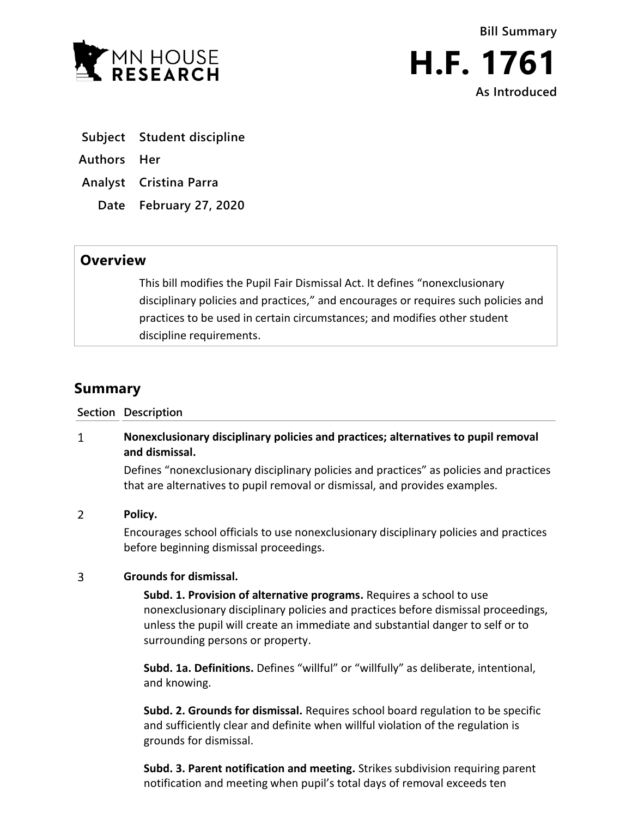



- **Subject Student discipline**
- **Authors Her**
- **Analyst Cristina Parra**
	- **Date February 27, 2020**

## **Overview**

This bill modifies the Pupil Fair Dismissal Act. It defines "nonexclusionary disciplinary policies and practices," and encourages or requires such policies and practices to be used in certain circumstances; and modifies other student discipline requirements.

# **Summary**

**Section Description**

### $\mathbf{1}$ **Nonexclusionary disciplinary policies and practices; alternatives to pupil removal and dismissal.**

Defines "nonexclusionary disciplinary policies and practices" as policies and practices that are alternatives to pupil removal or dismissal, and provides examples.

#### $\overline{2}$ **Policy.**

Encourages school officials to use nonexclusionary disciplinary policies and practices before beginning dismissal proceedings.

#### $\overline{3}$ **Grounds for dismissal.**

**Subd. 1. Provision of alternative programs.** Requires a school to use nonexclusionary disciplinary policies and practices before dismissal proceedings, unless the pupil will create an immediate and substantial danger to self or to surrounding persons or property.

**Subd. 1a. Definitions.** Defines "willful" or "willfully" as deliberate, intentional, and knowing.

**Subd. 2. Grounds for dismissal.** Requires school board regulation to be specific and sufficiently clear and definite when willful violation of the regulation is grounds for dismissal.

**Subd. 3. Parent notification and meeting.** Strikes subdivision requiring parent notification and meeting when pupil's total days of removal exceeds ten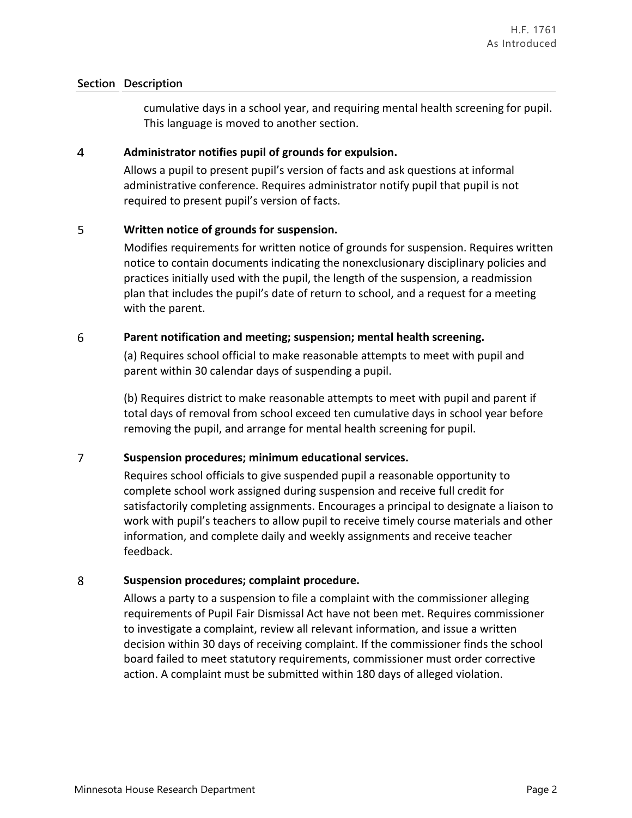## **Section Description**

cumulative days in a school year, and requiring mental health screening for pupil. This language is moved to another section.

#### $\overline{4}$ **Administrator notifies pupil of grounds for expulsion.**

Allows a pupil to present pupil's version of facts and ask questions at informal administrative conference. Requires administrator notify pupil that pupil is not required to present pupil's version of facts.

#### 5 **Written notice of grounds for suspension.**

Modifies requirements for written notice of grounds for suspension. Requires written notice to contain documents indicating the nonexclusionary disciplinary policies and practices initially used with the pupil, the length of the suspension, a readmission plan that includes the pupil's date of return to school, and a request for a meeting with the parent.

#### 6 **Parent notification and meeting; suspension; mental health screening.**

(a) Requires school official to make reasonable attempts to meet with pupil and parent within 30 calendar days of suspending a pupil.

(b) Requires district to make reasonable attempts to meet with pupil and parent if total days of removal from school exceed ten cumulative days in school year before removing the pupil, and arrange for mental health screening for pupil.

#### $\overline{7}$ **Suspension procedures; minimum educational services.**

Requires school officials to give suspended pupil a reasonable opportunity to complete school work assigned during suspension and receive full credit for satisfactorily completing assignments. Encourages a principal to designate a liaison to work with pupil's teachers to allow pupil to receive timely course materials and other information, and complete daily and weekly assignments and receive teacher feedback.

#### 8 **Suspension procedures; complaint procedure.**

Allows a party to a suspension to file a complaint with the commissioner alleging requirements of Pupil Fair Dismissal Act have not been met. Requires commissioner to investigate a complaint, review all relevant information, and issue a written decision within 30 days of receiving complaint. If the commissioner finds the school board failed to meet statutory requirements, commissioner must order corrective action. A complaint must be submitted within 180 days of alleged violation.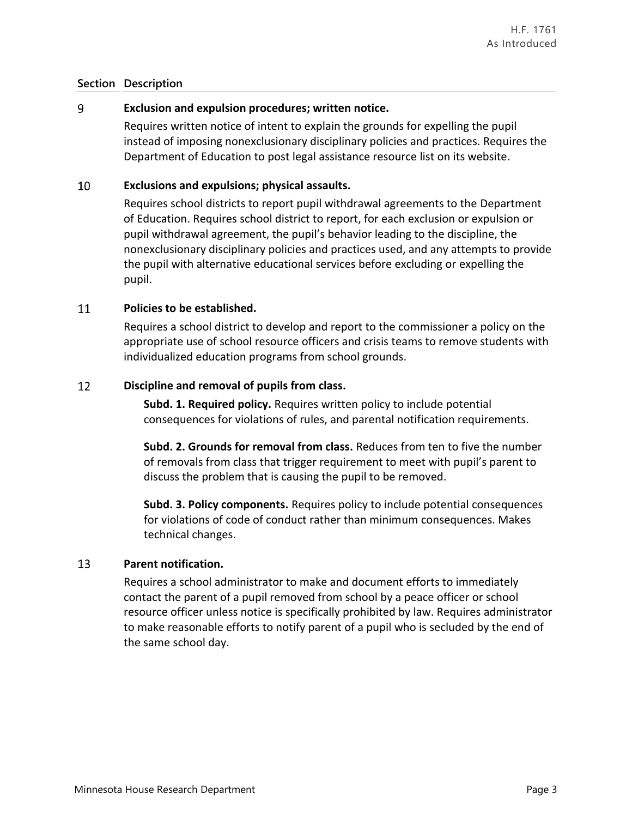## **Section Description**

#### 9 **Exclusion and expulsion procedures; written notice.**

Requires written notice of intent to explain the grounds for expelling the pupil instead of imposing nonexclusionary disciplinary policies and practices. Requires the Department of Education to post legal assistance resource list on its website.

#### 10 **Exclusions and expulsions; physical assaults.**

Requires school districts to report pupil withdrawal agreements to the Department of Education. Requires school district to report, for each exclusion or expulsion or pupil withdrawal agreement, the pupil's behavior leading to the discipline, the nonexclusionary disciplinary policies and practices used, and any attempts to provide the pupil with alternative educational services before excluding or expelling the pupil.

#### 11 **Policies to be established.**

Requires a school district to develop and report to the commissioner a policy on the appropriate use of school resource officers and crisis teams to remove students with individualized education programs from school grounds.

#### 12 **Discipline and removal of pupils from class.**

**Subd. 1. Required policy.** Requires written policy to include potential consequences for violations of rules, and parental notification requirements.

**Subd. 2. Grounds for removal from class.** Reduces from ten to five the number of removals from class that trigger requirement to meet with pupil's parent to discuss the problem that is causing the pupil to be removed.

**Subd. 3. Policy components.** Requires policy to include potential consequences for violations of code of conduct rather than minimum consequences. Makes technical changes.

#### 13 **Parent notification.**

Requires a school administrator to make and document efforts to immediately contact the parent of a pupil removed from school by a peace officer or school resource officer unless notice is specifically prohibited by law. Requires administrator to make reasonable efforts to notify parent of a pupil who is secluded by the end of the same school day.